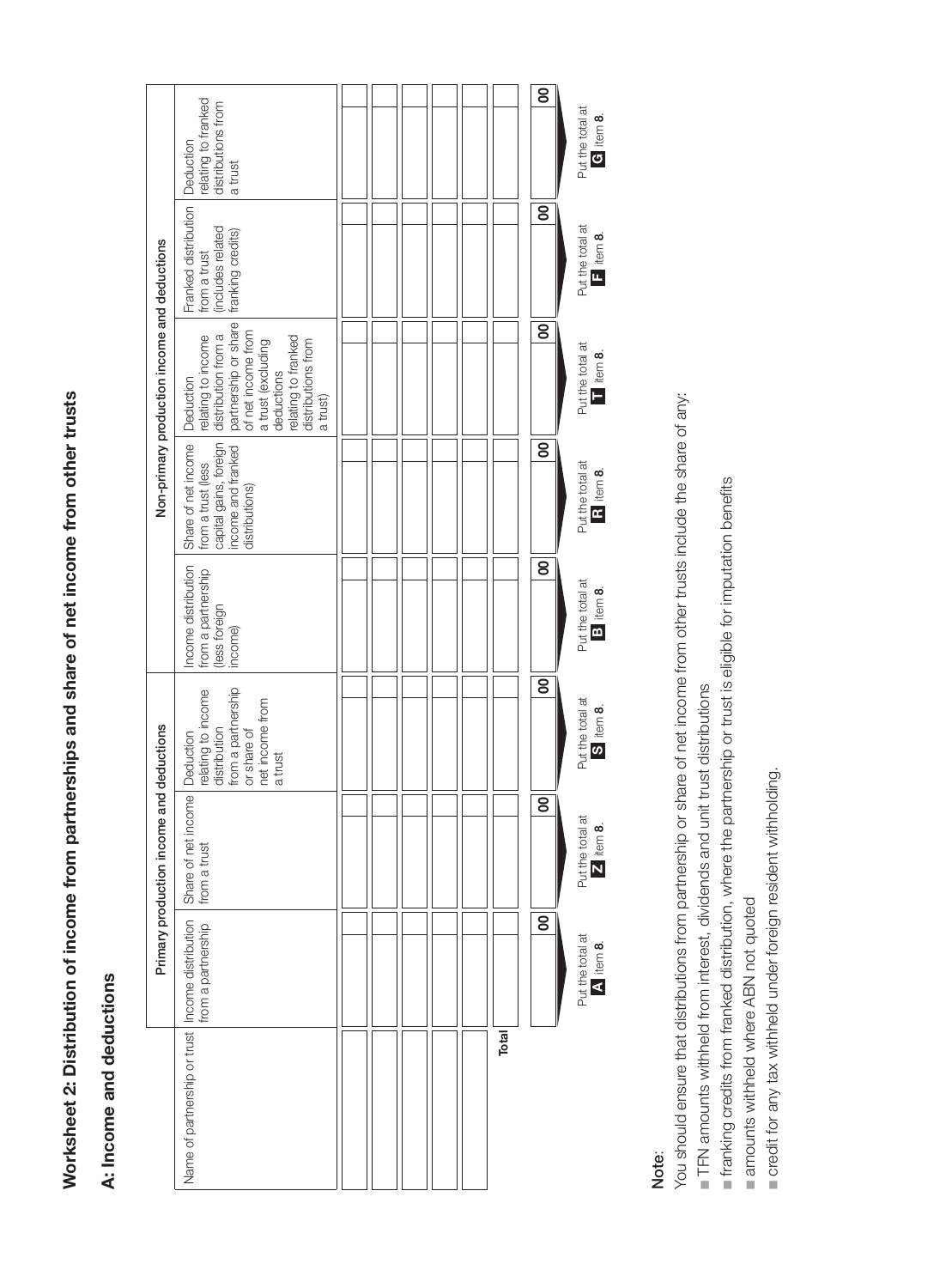| l          |
|------------|
|            |
|            |
|            |
|            |
|            |
|            |
|            |
|            |
|            |
|            |
|            |
| ֚֚֚֚֚֚֚֚֡֕ |
|            |
|            |
|            |
|            |

## A: Income and deductions A: Income and deductions

| Non-primary production income and deductions | relating to franked<br>distributions from<br>a trust                                                                                                                                 |  |  |       |  |
|----------------------------------------------|--------------------------------------------------------------------------------------------------------------------------------------------------------------------------------------|--|--|-------|--|
|                                              | Franked distribution   Deduction<br>includes related<br>franking credits)<br>from a trust                                                                                            |  |  |       |  |
|                                              | partnership or share<br>of net income from<br>relating to income<br>distribution from a<br>relating to franked<br>distributions from<br>a trust (excluding<br>deductions<br>a trust) |  |  |       |  |
|                                              | Share of net income   Deduction<br>capital gains, foreign<br>income and franked<br>from a trust (less<br>distributions)                                                              |  |  |       |  |
|                                              | Income distribution<br>from a partnership<br>less foreign<br>income)                                                                                                                 |  |  |       |  |
| and deductions<br>Primary production income  | from a partnership<br>relating to income<br>net income from<br>distribution<br>or share of<br>a trust                                                                                |  |  |       |  |
|                                              | Share of net income   Deduction<br>from a trust                                                                                                                                      |  |  |       |  |
|                                              | from a partnership                                                                                                                                                                   |  |  |       |  |
|                                              | Name of partnership or trust   Income distribution                                                                                                                                   |  |  | Total |  |

## Note:

You should ensure that distributions from partnership or share of net income from other trusts include the share of any: You should ensure that distributions from partnership or share of net income from other trusts include the share of any:

TFN amounts withheld from interest, dividends and unit trust distributions n TFN amounts withheld from interest, dividends and unit trust distributions

franking credits from franked distribution, where the partnership or trust is eligible for imputation benefits n franking credits from franked distribution, where the partnership or trust is eligible for imputation benefits

amounts withheld where ABN not quoted n amounts withheld where ABN not quoted

credit for any tax withheld under foreign resident withholding. n credit for any tax withheld under foreign resident withholding.